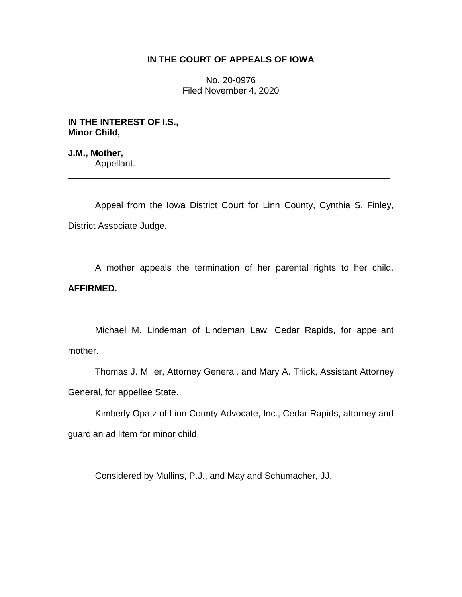## **IN THE COURT OF APPEALS OF IOWA**

No. 20-0976 Filed November 4, 2020

**IN THE INTEREST OF I.S., Minor Child,**

**J.M., Mother,** Appellant.

Appeal from the Iowa District Court for Linn County, Cynthia S. Finley, District Associate Judge.

\_\_\_\_\_\_\_\_\_\_\_\_\_\_\_\_\_\_\_\_\_\_\_\_\_\_\_\_\_\_\_\_\_\_\_\_\_\_\_\_\_\_\_\_\_\_\_\_\_\_\_\_\_\_\_\_\_\_\_\_\_\_\_\_

A mother appeals the termination of her parental rights to her child. **AFFIRMED.**

Michael M. Lindeman of Lindeman Law, Cedar Rapids, for appellant mother.

Thomas J. Miller, Attorney General, and Mary A. Triick, Assistant Attorney General, for appellee State.

Kimberly Opatz of Linn County Advocate, Inc., Cedar Rapids, attorney and guardian ad litem for minor child.

Considered by Mullins, P.J., and May and Schumacher, JJ.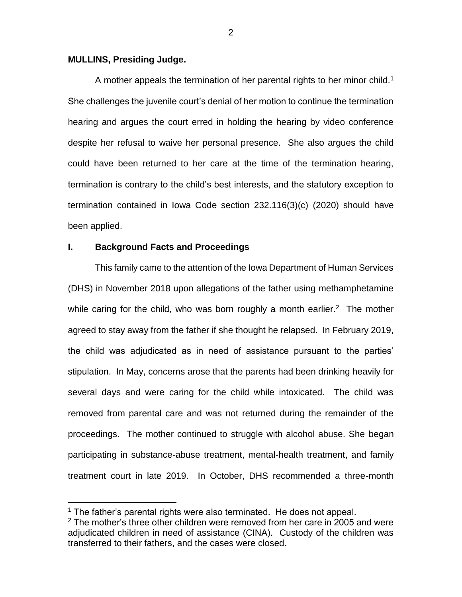#### **MULLINS, Presiding Judge.**

A mother appeals the termination of her parental rights to her minor child.<sup>1</sup> She challenges the juvenile court's denial of her motion to continue the termination hearing and argues the court erred in holding the hearing by video conference despite her refusal to waive her personal presence. She also argues the child could have been returned to her care at the time of the termination hearing, termination is contrary to the child's best interests, and the statutory exception to termination contained in Iowa Code section 232.116(3)(c) (2020) should have been applied.

## **I. Background Facts and Proceedings**

 $\overline{a}$ 

This family came to the attention of the Iowa Department of Human Services (DHS) in November 2018 upon allegations of the father using methamphetamine while caring for the child, who was born roughly a month earlier. $2$  The mother agreed to stay away from the father if she thought he relapsed. In February 2019, the child was adjudicated as in need of assistance pursuant to the parties' stipulation. In May, concerns arose that the parents had been drinking heavily for several days and were caring for the child while intoxicated. The child was removed from parental care and was not returned during the remainder of the proceedings. The mother continued to struggle with alcohol abuse. She began participating in substance-abuse treatment, mental-health treatment, and family treatment court in late 2019. In October, DHS recommended a three-month

 $1$  The father's parental rights were also terminated. He does not appeal.

 $2$  The mother's three other children were removed from her care in 2005 and were adjudicated children in need of assistance (CINA). Custody of the children was transferred to their fathers, and the cases were closed.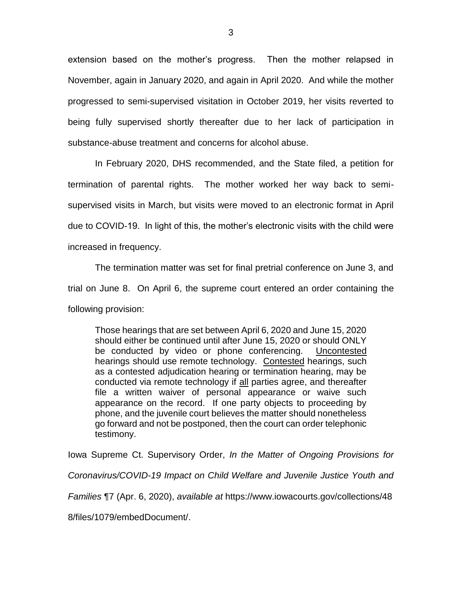extension based on the mother's progress. Then the mother relapsed in November, again in January 2020, and again in April 2020. And while the mother progressed to semi-supervised visitation in October 2019, her visits reverted to being fully supervised shortly thereafter due to her lack of participation in substance-abuse treatment and concerns for alcohol abuse.

In February 2020, DHS recommended, and the State filed, a petition for termination of parental rights. The mother worked her way back to semisupervised visits in March, but visits were moved to an electronic format in April due to COVID-19. In light of this, the mother's electronic visits with the child were increased in frequency.

The termination matter was set for final pretrial conference on June 3, and trial on June 8. On April 6, the supreme court entered an order containing the following provision:

Those hearings that are set between April 6, 2020 and June 15, 2020 should either be continued until after June 15, 2020 or should ONLY be conducted by video or phone conferencing. Uncontested hearings should use remote technology. Contested hearings, such as a contested adjudication hearing or termination hearing, may be conducted via remote technology if all parties agree, and thereafter file a written waiver of personal appearance or waive such appearance on the record. If one party objects to proceeding by phone, and the juvenile court believes the matter should nonetheless go forward and not be postponed, then the court can order telephonic testimony.

Iowa Supreme Ct. Supervisory Order, *In the Matter of Ongoing Provisions for* 

*Coronavirus/COVID-19 Impact on Child Welfare and Juvenile Justice Youth and* 

*Families* ¶7 (Apr. 6, 2020), *available at* https://www.iowacourts.gov/collections/48

8/files/1079/embedDocument/.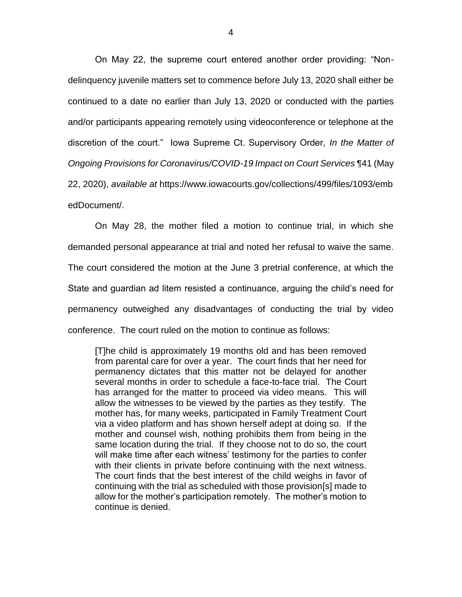On May 22, the supreme court entered another order providing: "Nondelinquency juvenile matters set to commence before July 13, 2020 shall either be continued to a date no earlier than July 13, 2020 or conducted with the parties and/or participants appearing remotely using videoconference or telephone at the discretion of the court." Iowa Supreme Ct. Supervisory Order, *In the Matter of Ongoing Provisions for Coronavirus/COVID-19 Impact on Court Services* ¶41 (May 22, 2020), *available at* https://www.iowacourts.gov/collections/499/files/1093/emb edDocument/.

On May 28, the mother filed a motion to continue trial, in which she demanded personal appearance at trial and noted her refusal to waive the same. The court considered the motion at the June 3 pretrial conference, at which the State and guardian ad litem resisted a continuance, arguing the child's need for permanency outweighed any disadvantages of conducting the trial by video conference. The court ruled on the motion to continue as follows:

[T]he child is approximately 19 months old and has been removed from parental care for over a year. The court finds that her need for permanency dictates that this matter not be delayed for another several months in order to schedule a face-to-face trial. The Court has arranged for the matter to proceed via video means. This will allow the witnesses to be viewed by the parties as they testify. The mother has, for many weeks, participated in Family Treatment Court via a video platform and has shown herself adept at doing so. If the mother and counsel wish, nothing prohibits them from being in the same location during the trial. If they choose not to do so, the court will make time after each witness' testimony for the parties to confer with their clients in private before continuing with the next witness. The court finds that the best interest of the child weighs in favor of continuing with the trial as scheduled with those provision[s] made to allow for the mother's participation remotely. The mother's motion to continue is denied.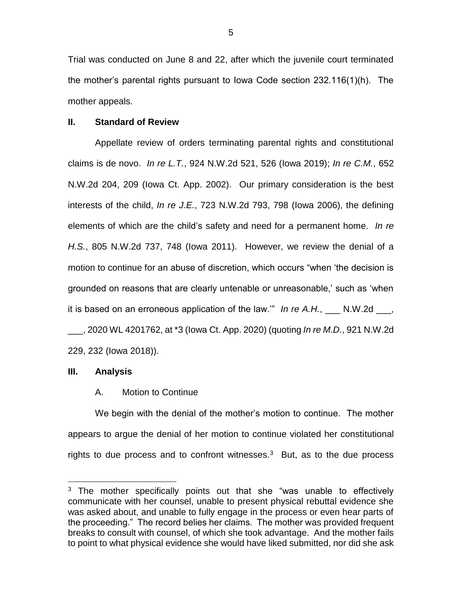Trial was conducted on June 8 and 22, after which the juvenile court terminated the mother's parental rights pursuant to Iowa Code section 232.116(1)(h). The mother appeals.

#### **II. Standard of Review**

Appellate review of orders terminating parental rights and constitutional claims is de novo. *In re L.T.*, 924 N.W.2d 521, 526 (Iowa 2019); *In re C.M.*, 652 N.W.2d 204, 209 (Iowa Ct. App. 2002). Our primary consideration is the best interests of the child, *In re J.E.*, 723 N.W.2d 793, 798 (Iowa 2006), the defining elements of which are the child's safety and need for a permanent home. *In re H.S.*, 805 N.W.2d 737, 748 (Iowa 2011). However, we review the denial of a motion to continue for an abuse of discretion, which occurs "when 'the decision is grounded on reasons that are clearly untenable or unreasonable,' such as 'when it is based on an erroneous application of the law.'" *In re A.H.*, \_\_\_ N.W.2d \_\_\_, \_\_\_, 2020 WL 4201762, at \*3 (Iowa Ct. App. 2020) (quoting *In re M.D.*, 921 N.W.2d 229, 232 (Iowa 2018)).

## **III. Analysis**

 $\overline{a}$ 

## A. Motion to Continue

We begin with the denial of the mother's motion to continue. The mother appears to argue the denial of her motion to continue violated her constitutional rights to due process and to confront witnesses. $3$  But, as to the due process

<sup>&</sup>lt;sup>3</sup> The mother specifically points out that she "was unable to effectively communicate with her counsel, unable to present physical rebuttal evidence she was asked about, and unable to fully engage in the process or even hear parts of the proceeding." The record belies her claims. The mother was provided frequent breaks to consult with counsel, of which she took advantage. And the mother fails to point to what physical evidence she would have liked submitted, nor did she ask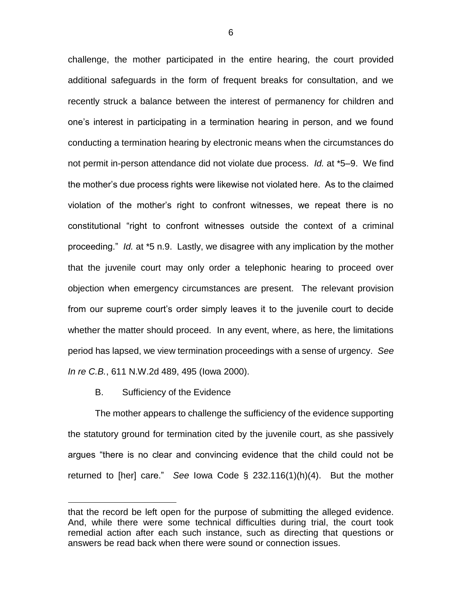challenge, the mother participated in the entire hearing, the court provided additional safeguards in the form of frequent breaks for consultation, and we recently struck a balance between the interest of permanency for children and one's interest in participating in a termination hearing in person, and we found conducting a termination hearing by electronic means when the circumstances do not permit in-person attendance did not violate due process. *Id.* at \*5–9. We find the mother's due process rights were likewise not violated here. As to the claimed violation of the mother's right to confront witnesses, we repeat there is no constitutional "right to confront witnesses outside the context of a criminal proceeding." *Id.* at \*5 n.9. Lastly, we disagree with any implication by the mother that the juvenile court may only order a telephonic hearing to proceed over objection when emergency circumstances are present. The relevant provision from our supreme court's order simply leaves it to the juvenile court to decide whether the matter should proceed. In any event, where, as here, the limitations period has lapsed, we view termination proceedings with a sense of urgency. *See In re C.B.*, 611 N.W.2d 489, 495 (Iowa 2000).

B. Sufficiency of the Evidence

 $\overline{a}$ 

The mother appears to challenge the sufficiency of the evidence supporting the statutory ground for termination cited by the juvenile court, as she passively argues "there is no clear and convincing evidence that the child could not be returned to [her] care." *See* Iowa Code § 232.116(1)(h)(4). But the mother

that the record be left open for the purpose of submitting the alleged evidence. And, while there were some technical difficulties during trial, the court took remedial action after each such instance, such as directing that questions or answers be read back when there were sound or connection issues.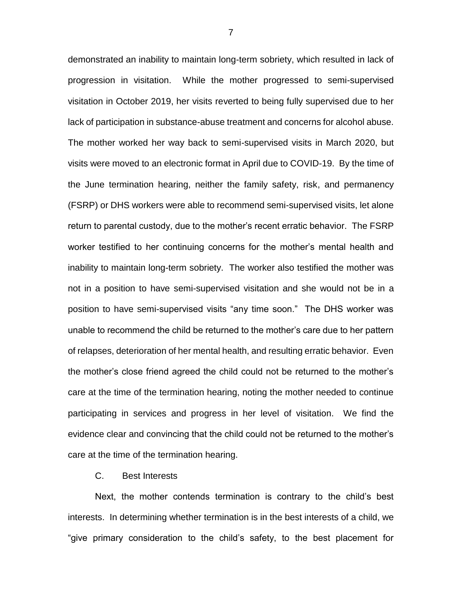demonstrated an inability to maintain long-term sobriety, which resulted in lack of progression in visitation. While the mother progressed to semi-supervised visitation in October 2019, her visits reverted to being fully supervised due to her lack of participation in substance-abuse treatment and concerns for alcohol abuse. The mother worked her way back to semi-supervised visits in March 2020, but visits were moved to an electronic format in April due to COVID-19. By the time of the June termination hearing, neither the family safety, risk, and permanency (FSRP) or DHS workers were able to recommend semi-supervised visits, let alone return to parental custody, due to the mother's recent erratic behavior. The FSRP worker testified to her continuing concerns for the mother's mental health and inability to maintain long-term sobriety. The worker also testified the mother was not in a position to have semi-supervised visitation and she would not be in a position to have semi-supervised visits "any time soon." The DHS worker was unable to recommend the child be returned to the mother's care due to her pattern of relapses, deterioration of her mental health, and resulting erratic behavior. Even the mother's close friend agreed the child could not be returned to the mother's care at the time of the termination hearing, noting the mother needed to continue participating in services and progress in her level of visitation. We find the evidence clear and convincing that the child could not be returned to the mother's care at the time of the termination hearing.

C. Best Interests

Next, the mother contends termination is contrary to the child's best interests. In determining whether termination is in the best interests of a child, we "give primary consideration to the child's safety, to the best placement for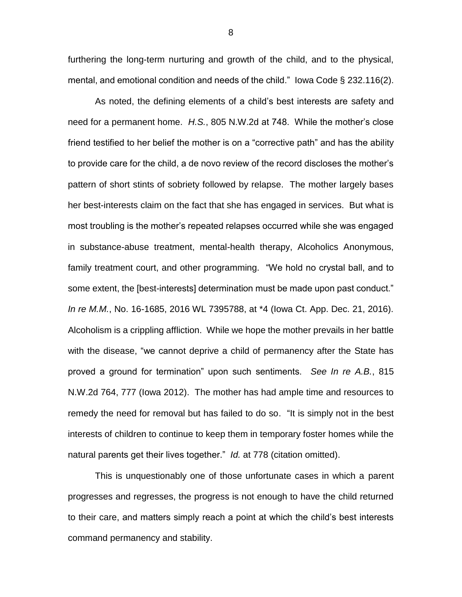furthering the long-term nurturing and growth of the child, and to the physical, mental, and emotional condition and needs of the child." Iowa Code § 232.116(2).

As noted, the defining elements of a child's best interests are safety and need for a permanent home. *H.S.*, 805 N.W.2d at 748. While the mother's close friend testified to her belief the mother is on a "corrective path" and has the ability to provide care for the child, a de novo review of the record discloses the mother's pattern of short stints of sobriety followed by relapse. The mother largely bases her best-interests claim on the fact that she has engaged in services. But what is most troubling is the mother's repeated relapses occurred while she was engaged in substance-abuse treatment, mental-health therapy, Alcoholics Anonymous, family treatment court, and other programming. "We hold no crystal ball, and to some extent, the [best-interests] determination must be made upon past conduct." *In re M.M.*, No. 16-1685, 2016 WL 7395788, at \*4 (Iowa Ct. App. Dec. 21, 2016). Alcoholism is a crippling affliction. While we hope the mother prevails in her battle with the disease, "we cannot deprive a child of permanency after the State has proved a ground for termination" upon such sentiments. *See In re A.B.*, 815 N.W.2d 764, 777 (Iowa 2012). The mother has had ample time and resources to remedy the need for removal but has failed to do so. "It is simply not in the best interests of children to continue to keep them in temporary foster homes while the natural parents get their lives together." *Id.* at 778 (citation omitted).

This is unquestionably one of those unfortunate cases in which a parent progresses and regresses, the progress is not enough to have the child returned to their care, and matters simply reach a point at which the child's best interests command permanency and stability.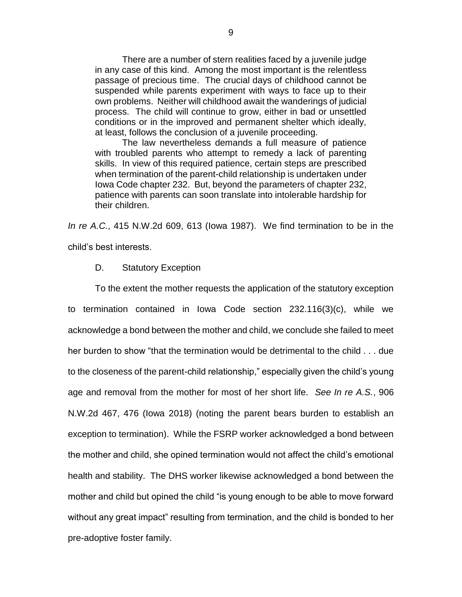There are a number of stern realities faced by a juvenile judge in any case of this kind. Among the most important is the relentless passage of precious time. The crucial days of childhood cannot be suspended while parents experiment with ways to face up to their own problems. Neither will childhood await the wanderings of judicial process. The child will continue to grow, either in bad or unsettled conditions or in the improved and permanent shelter which ideally, at least, follows the conclusion of a juvenile proceeding.

The law nevertheless demands a full measure of patience with troubled parents who attempt to remedy a lack of parenting skills. In view of this required patience, certain steps are prescribed when termination of the parent-child relationship is undertaken under Iowa Code chapter 232. But, beyond the parameters of chapter 232, patience with parents can soon translate into intolerable hardship for their children.

*In re A.C.*, 415 N.W.2d 609, 613 (Iowa 1987). We find termination to be in the child's best interests.

#### D. Statutory Exception

To the extent the mother requests the application of the statutory exception to termination contained in Iowa Code section 232.116(3)(c), while we acknowledge a bond between the mother and child, we conclude she failed to meet her burden to show "that the termination would be detrimental to the child . . . due to the closeness of the parent-child relationship," especially given the child's young age and removal from the mother for most of her short life. *See In re A.S.*, 906 N.W.2d 467, 476 (Iowa 2018) (noting the parent bears burden to establish an exception to termination). While the FSRP worker acknowledged a bond between the mother and child, she opined termination would not affect the child's emotional health and stability. The DHS worker likewise acknowledged a bond between the mother and child but opined the child "is young enough to be able to move forward without any great impact" resulting from termination, and the child is bonded to her pre-adoptive foster family.